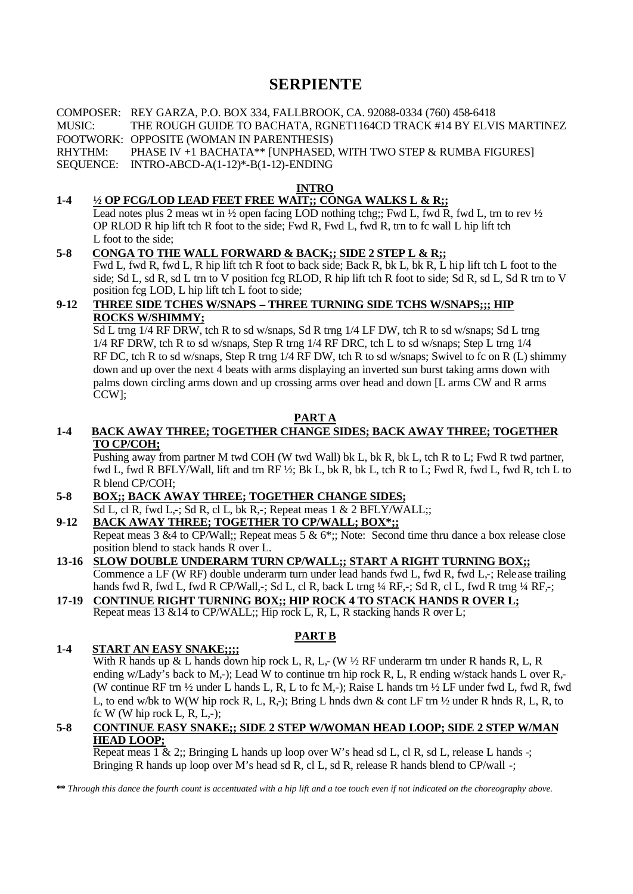# **SERPIENTE**

COMPOSER: REY GARZA, P.O. BOX 334, FALLBROOK, CA. 92088-0334 (760) 458-6418 MUSIC: THE ROUGH GUIDE TO BACHATA, RGNET1164CD TRACK #14 BY ELVIS MARTINEZ FOOTWORK: OPPOSITE (WOMAN IN PARENTHESIS) RHYTHM: PHASE IV +1 BACHATA\*\* [UNPHASED, WITH TWO STEP & RUMBA FIGURES] SEQUENCE: INTRO-ABCD-A(1-12)\*-B(1-12)-ENDING

**INTRO**

## **1-4 ½ OP FCG/LOD LEAD FEET FREE WAIT;; CONGA WALKS L & R;;**

Lead notes plus 2 meas wt in  $\frac{1}{2}$  open facing LOD nothing tchg;; Fwd L, fwd R, fwd L, trn to rev  $\frac{1}{2}$ OP RLOD R hip lift tch R foot to the side; Fwd R, Fwd L, fwd R, trn to fc wall L hip lift tch L foot to the side;

### **5-8 CONGA TO THE WALL FORWARD & BACK;; SIDE 2 STEP L & R;;**

Fwd L, fwd R, fwd L, R hip lift tch R foot to back side; Back R, bk L, bk R, L hip lift tch L foot to the side; Sd L, sd R, sd L trn to V position fcg RLOD, R hip lift tch R foot to side; Sd R, sd L, Sd R trn to V position fcg LOD, L hip lift tch L foot to side;

#### **9-12 THREE SIDE TCHES W/SNAPS – THREE TURNING SIDE TCHS W/SNAPS;;; HIP ROCKS W/SHIMMY;**

Sd L trng 1/4 RF DRW, tch R to sd w/snaps, Sd R trng 1/4 LF DW, tch R to sd w/snaps; Sd L trng 1/4 RF DRW, tch R to sd w/snaps, Step R trng 1/4 RF DRC, tch L to sd w/snaps; Step L trng 1/4 RF DC, tch R to sd w/snaps, Step R trng 1/4 RF DW, tch R to sd w/snaps; Swivel to fc on R (L) shimmy down and up over the next 4 beats with arms displaying an inverted sun burst taking arms down with palms down circling arms down and up crossing arms over head and down [L arms CW and R arms CCW];

### **PART A**

### **1-4 BACK AWAY THREE; TOGETHER CHANGE SIDES; BACK AWAY THREE; TOGETHER TO CP/COH;**

Pushing away from partner M twd COH (W twd Wall) bk L, bk R, bk L, tch R to L; Fwd R twd partner, fwd L, fwd R BFLY/Wall, lift and trn RF ½; Bk L, bk R, bk L, tch R to L; Fwd R, fwd L, fwd R, tch L to R blend CP/COH;

#### **5-8 BOX;; BACK AWAY THREE; TOGETHER CHANGE SIDES;**

 $\overline{Sd}$  L, cl R, fwd L,-;  $\overline{Sd}$  R, cl L, bk R,-; Repeat meas 1 & 2 BFLY/WALL;;

## **9-12 BACK AWAY THREE; TOGETHER TO CP/WALL; BOX\*;;**

Repeat meas 3 &4 to CP/Wall;; Repeat meas 5 & 6\*;; Note: Second time thru dance a box release close position blend to stack hands R over L.

#### **13-16 SLOW DOUBLE UNDERARM TURN CP/WALL;; START A RIGHT TURNING BOX;;**

Commence a LF (W RF) double underarm turn under lead hands fwd L, fwd R, fwd L,-; Release trailing hands fwd R, fwd L, fwd R CP/Wall,-; Sd L, cl R, back L trng ¼ RF,-; Sd R, cl L, fwd R trng ¼ RF,-;

#### **17-19 CONTINUE RIGHT TURNING BOX;; HIP ROCK 4 TO STACK HANDS R OVER L;** Repeat meas 13 &14 to CP/WALL;; Hip rock L, R, L, R stacking hands R over L;

## **PART B**

## **1-4 START AN EASY SNAKE;;;;**

With R hands up & L hands down hip rock L, R, L,- (W  $\frac{1}{2}$  RF underarm trn under R hands R, L, R ending w/Lady's back to M<sub>c</sub>-); Lead W to continue trn hip rock R, L, R ending w/stack hands L over R<sub>5</sub>-(W continue RF trn ½ under L hands L, R, L to fc M,-); Raise L hands trn ½ LF under fwd L, fwd R, fwd L, to end w/bk to W(W hip rock R, L, R,-); Bring L hnds dwn & cont LF trn ½ under R hnds R, L, R, to fc W (W hip rock L, R, L,-);

#### **5-8 CONTINUE EASY SNAKE;; SIDE 2 STEP W/WOMAN HEAD LOOP; SIDE 2 STEP W/MAN HEAD LOOP;**

Repeat meas  $1 \& 2$ ;; Bringing L hands up loop over W's head sd L, cl R, sd L, release L hands -; Bringing R hands up loop over M's head sd R, cl L, sd R, release R hands blend to CP/wall -;

**\*\*** *Through this dance the fourth count is accentuated with a hip lift and a toe touch even if not indicated on the choreography above.*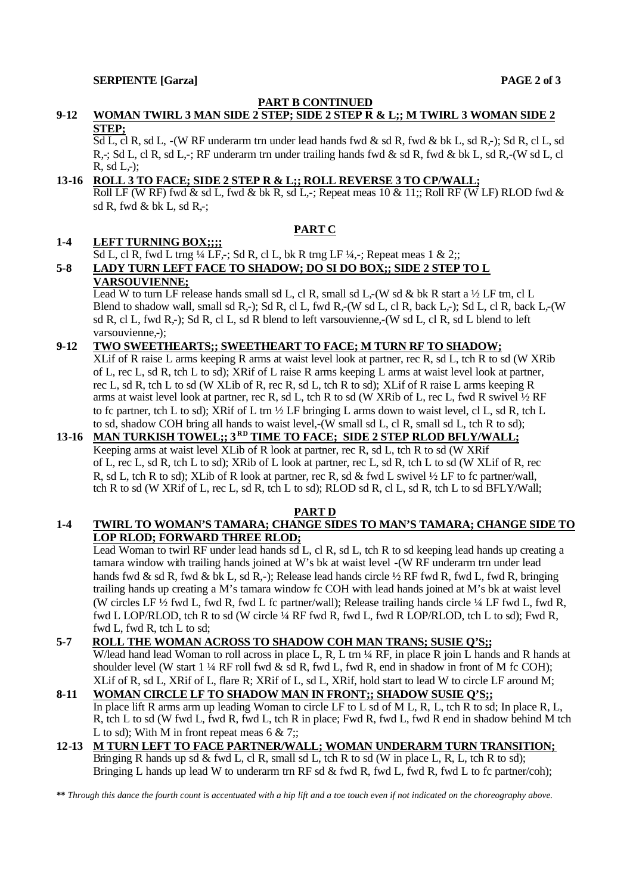### **PART B CONTINUED**

## **9-12 WOMAN TWIRL 3 MAN SIDE 2 STEP; SIDE 2 STEP R & L;; M TWIRL 3 WOMAN SIDE 2 STEP;**

Sd L, cl R, sd L, -(W RF underarm trn under lead hands fwd & sd R, fwd & bk L, sd R,-); Sd R, cl L, sd R,-; Sd L, cl R, sd L,-; RF underarm trn under trailing hands fwd & sd R, fwd & bk L, sd R,-(W sd L, cl  $R, \text{sd } L,$ -);

## **13-16 ROLL 3 TO FACE; SIDE 2 STEP R & L;; ROLL REVERSE 3 TO CP/WALL;**

Roll LF (W RF) fwd & sd L, fwd & bk R, sd L,-; Repeat meas  $10 \& 11$ ;; Roll RF (W LF) RLOD fwd & sd R, fwd & bk L, sd R,-;

## **PART C**

### **1-4 LEFT TURNING BOX;;;;**

Sd L, cl R, fwd L trng  $\frac{1}{4}$  LF,-; Sd R, cl L, bk R trng LF  $\frac{1}{4}$ ,-; Repeat meas 1 & 2;;

## **5-8 LADY TURN LEFT FACE TO SHADOW; DO SI DO BOX;; SIDE 2 STEP TO L VARSOUVIENNE;**

Lead W to turn LF release hands small sd L, cl R, small sd L,-(W sd & bk R start a  $\frac{1}{2}$  LF trn, cl L Blend to shadow wall, small sd R,-); Sd R, cl L, fwd R,-(W sd L, cl R, back L,-); Sd L, cl R, back L,-(W sd R, cl L, fwd R,-); Sd R, cl L, sd R blend to left varsouvienne,-(W sd L, cl R, sd L blend to left varsouvienne.-):

#### **9-12 TWO SWEETHEARTS;; SWEETHEART TO FACE; M TURN RF TO SHADOW;**

XLif of R raise L arms keeping R arms at waist level look at partner, rec R, sd L, tch R to sd (W XRib of L, rec L, sd R, tch L to sd); XRif of L raise R arms keeping L arms at waist level look at partner, rec L, sd R, tch L to sd (W XLib of R, rec R, sd L, tch R to sd); XLif of R raise L arms keeping R arms at waist level look at partner, rec R, sd L, tch R to sd (W XRib of L, rec L, fwd R swivel  $\frac{1}{2}$  RF to fc partner, tch L to sd); XRif of L trn ½ LF bringing L arms down to waist level, cl L, sd R, tch L to sd, shadow COH bring all hands to waist level,-(W small sd L, cl R, small sd L, tch R to sd);

## **13-16 MAN TURKISH TOWEL;; 3 RD TIME TO FACE; SIDE 2 STEP RLOD BFLY/WALL;** Keeping arms at waist level XLib of R look at partner, rec R, sd L, tch R to sd (W XRif of L, rec L, sd R, tch L to sd); XRib of L look at partner, rec L, sd R, tch L to sd (W XLif of R, rec R, sd L, tch R to sd); XLib of R look at partner, rec R, sd & fwd L swivel ½ LF to fc partner/wall, tch R to sd (W XRif of L, rec L, sd R, tch L to sd); RLOD sd R, cl L, sd R, tch L to sd BFLY/Wall;

#### **PART D**

### **1-4 TWIRL TO WOMAN'S TAMARA; CHANGE SIDES TO MAN'S TAMARA; CHANGE SIDE TO LOP RLOD; FORWARD THREE RLOD;**

Lead Woman to twirl RF under lead hands sd L, cl R, sd L, tch R to sd keeping lead hands up creating a tamara window with trailing hands joined at W's bk at waist level -(W RF underarm trn under lead hands fwd & sd R, fwd & bk L, sd R,-); Release lead hands circle 1/2 RF fwd R, fwd L, fwd R, bringing trailing hands up creating a M's tamara window fc COH with lead hands joined at M's bk at waist level (W circles LF ½ fwd L, fwd R, fwd L fc partner/wall); Release trailing hands circle ¼ LF fwd L, fwd R, fwd L LOP/RLOD, tch R to sd (W circle ¼ RF fwd R, fwd L, fwd R LOP/RLOD, tch L to sd); Fwd R, fwd L, fwd R, tch L to sd;

## **5-7 ROLL THE WOMAN ACROSS TO SHADOW COH MAN TRANS; SUSIE Q'S;;**

W/lead hand lead Woman to roll across in place L, R, L trn 1/4 RF, in place R join L hands and R hands at shoulder level (W start 1  $\frac{1}{4}$  RF roll fwd & sd R, fwd L, fwd R, end in shadow in front of M fc COH); XLif of R, sd L, XRif of L, flare R; XRif of L, sd L, XRif, hold start to lead W to circle LF around M;

#### **8-11 WOMAN CIRCLE LF TO SHADOW MAN IN FRONT;; SHADOW SUSIE Q'S;;** In place lift R arms arm up leading Woman to circle LF to L sd of M L, R, L, tch R to sd; In place R, L, R, tch L to sd (W fwd L, fwd R, fwd L, tch R in place; Fwd R, fwd L, fwd R end in shadow behind M tch L to sd); With M in front repeat meas  $6 \& 7$ ;;

#### **12-13 M TURN LEFT TO FACE PARTNER/WALL; WOMAN UNDERARM TURN TRANSITION;** Bringing R hands up sd & fwd L, cl R, small sd L, tch R to sd (W in place L, R, L, tch R to sd); Bringing L hands up lead W to underarm trn RF sd  $\&$  fwd R, fwd L, fwd R, fwd L to fc partner/coh);

**\*\*** *Through this dance the fourth count is accentuated with a hip lift and a toe touch even if not indicated on the choreography above.*